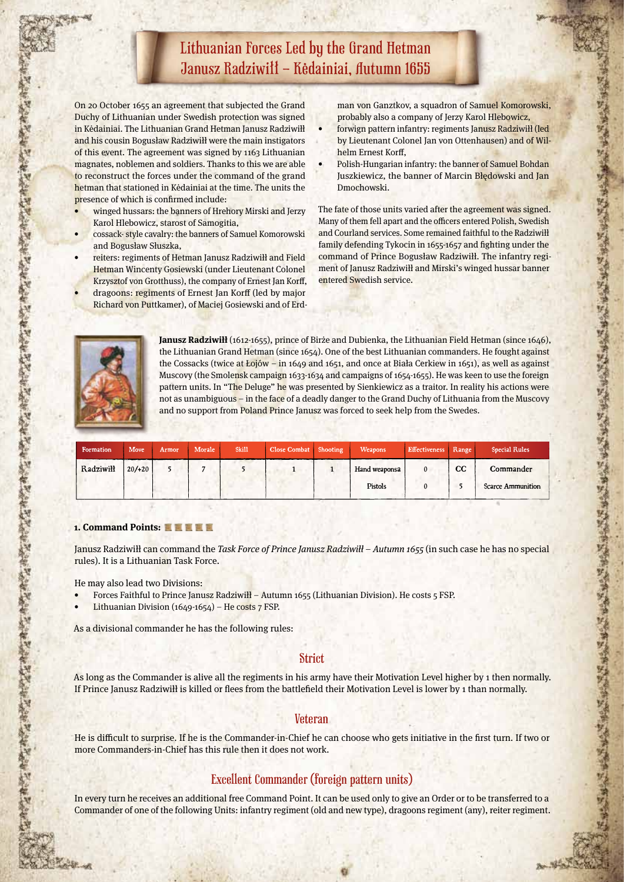## Lithuanian Forces Led by the Grand Hetman Janusz Radziwiłł – Kėdainiai, Autumn 1655

On 20 October 1655 an agreement that subjected the Grand Duchy of Lithuanian under Swedish protection was signed in Kėdainiai. The Lithuanian Grand Hetman Janusz Radziwiłł and his cousin Bogusław Radziwiłł were the main instigators of this event. The agreement was signed by 1163 Lithuanian magnates, noblemen and soldiers. Thanks to this we are able to reconstruct the forces under the command of the grand hetman that stationed in Kėdainiai at the time. The units the presence of which is confirmed include:

- winged hussars: the banners of Hrehory Mirski and Jerzy Karol Hlebowicz, starost of Samogitia,
- cossack- style cavalry: the banners of Samuel Komorowski and Bogusław Słuszka,
- reiters: regiments of Hetman Janusz Radziwiłł and Field Hetman Wincenty Gosiewski (under Lieutenant Colonel Krzysztof von Grotthuss), the company of Ernest Jan Korff, dragoons: regiments of Ernest Jan Korff (led by major
	- Richard von Puttkamer), of Maciej Gosiewski and of Erd-

man von Ganztkov, a squadron of Samuel Komorowski, probably also a company of Jerzy Karol Hlebowicz,

- forwign pattern infantry: regiments Janusz Radziwiłł (led by Lieutenant Colonel Jan von Ottenhausen) and of Wilhelm Ernest Korff,
- Polish-Hungarian infantry: the banner of Samuel Bohdan Juszkiewicz, the banner of Marcin Błędowski and Jan Dmochowski.

The fate of those units varied after the agreement was signed. Many of them fell apart and the officers entered Polish, Swedish and Courland services. Some remained faithful to the Radziwiłł family defending Tykocin in 1655-1657 and fighting under the command of Prince Bogusław Radziwiłł. The infantry regiment of Janusz Radziwiłł and Mirski's winged hussar banner entered Swedish service.

化异丁烯丙烯 计可编程序 医心脏 医心脏 医心脏 医心脏 医心脏 医心脏 医心脏 医心脏病

"中国的第三人称单数 医中国的 医中国



人名英格兰 化中央管理 医中心管 人名英格兰人

**Janusz Radziwiłł** (1612-1655), prince of Birże and Dubienka, the Lithuanian Field Hetman (since 1646), the Lithuanian Grand Hetman (since 1654). One of the best Lithuanian commanders. He fought against the Cossacks (twice at Łojów – in 1649 and 1651, and once at Biała Cerkiew in 1651), as well as against Muscovy (the Smolensk campaign 1633-1634 and campaigns of 1654-1655). He was keen to use the foreign pattern units. In "The Deluge" he was presented by Sienkiewicz as a traitor. In reality his actions were not as unambiguous – in the face of a deadly danger to the Grand Duchy of Lithuania from the Muscovy and no support from Poland Prince Janusz was forced to seek help from the Swedes.

| Formation | Move   | Armor | Morale | Skill | Close Combat Shooting | Weapons       | Effectiveness Range |    | <b>Special Rules</b>     |
|-----------|--------|-------|--------|-------|-----------------------|---------------|---------------------|----|--------------------------|
| Radziwiłł | 20/120 |       |        |       |                       | Hand weaponsa |                     | cc | Commander                |
|           |        |       |        |       |                       | Pistols       |                     |    | <b>Scarce Ammunition</b> |

#### **1. Command Points:**

Janusz Radziwiłł can command the Task Force of Prince Janusz Radziwiłł – Autumn 1655 (in such case he has no special rules). It is a Lithuanian Task Force.

He may also lead two Divisions:

- Forces Faithful to Prince Janusz Radziwiłł Autumn 1655 (Lithuanian Division). He costs 5 FSP.
- Lithuanian Division (1649-1654) He costs  $7$  FSP.

As a divisional commander he has the following rules:

### **Strict**

As long as the Commander is alive all the regiments in his army have their Motivation Level higher by 1 then normally. If Prince Janusz Radziwiłł is killed or flees from the battlefield their Motivation Level is lower by 1 than normally.

### **Veteran**

He is difficult to surprise. If he is the Commander-in-Chief he can choose who gets initiative in the first turn. If two or more Commanders-in-Chief has this rule then it does not work.

### Excellent Commander (foreign pattern units)

In every turn he receives an additional free Command Point. It can be used only to give an Order or to be transferred to a Commander of one of the following Units: infantry regiment (old and new type), dragoons regiment (any), reiter regiment.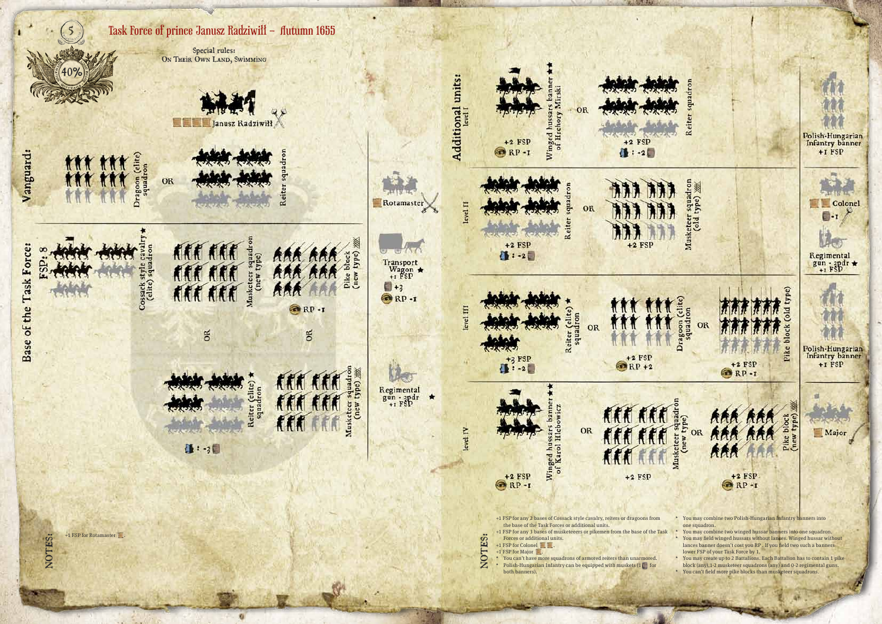

- 
- 
-